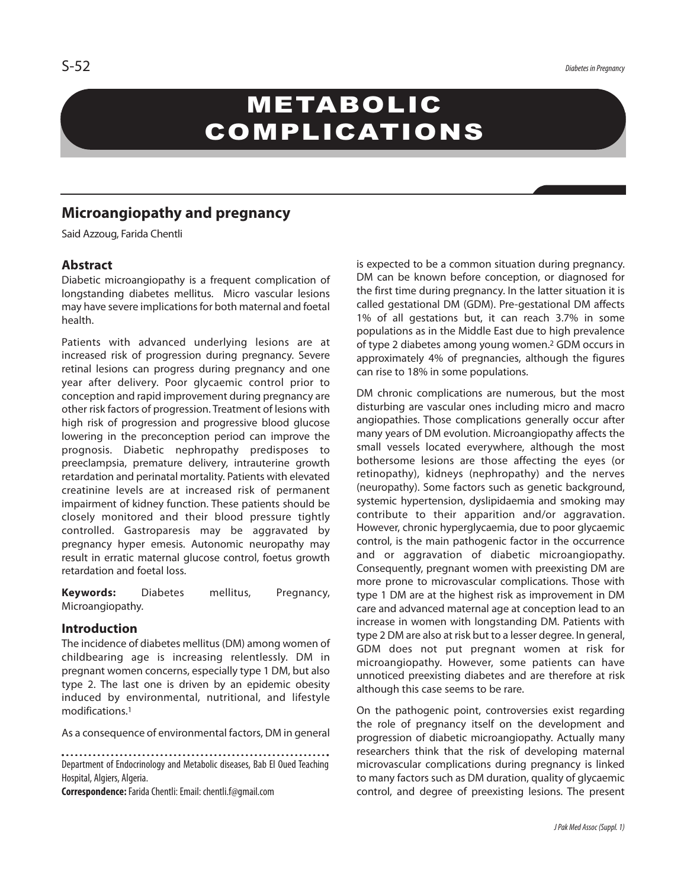# METABOLIC COMPLICATIONS

# **Microangiopathy and pregnancy**

Said Azzoug, Farida Chentli

## **Abstract**

Diabetic microangiopathy is a frequent complication of longstanding diabetes mellitus. Micro vascular lesions may have severe implications for both maternal and foetal health.

Patients with advanced underlying lesions are at increased risk of progression during pregnancy. Severe retinal lesions can progress during pregnancy and one year after delivery. Poor glycaemic control prior to conception and rapid improvement during pregnancy are other risk factors of progression. Treatment of lesions with high risk of progression and progressive blood glucose lowering in the preconception period can improve the prognosis. Diabetic nephropathy predisposes to preeclampsia, premature delivery, intrauterine growth retardation and perinatal mortality. Patients with elevated creatinine levels are at increased risk of permanent impairment of kidney function. These patients should be closely monitored and their blood pressure tightly controlled. Gastroparesis may be aggravated by pregnancy hyper emesis. Autonomic neuropathy may result in erratic maternal glucose control, foetus growth retardation and foetal loss.

**Keywords:** Diabetes mellitus, Pregnancy, Microangiopathy.

## **Introduction**

The incidence of diabetes mellitus(DM) among women of childbearing age is increasing relentlessly. DM in pregnant women concerns, especially type 1 DM, but also type 2. The last one is driven by an epidemic obesity induced by environmental, nutritional, and lifestyle modifications. 1

As a consequence of environmental factors, DM in general

Department of Endocrinology and Metabolic diseases, Bab El Oued Teaching Hospital, Algiers, Algeria.

**Correspondence:**FaridaChentli:Email: chentli.f@gmail.com

is expected to be a common situation during pregnancy. DM can be known before conception, or diagnosed for the first time during pregnancy. In the latter situation it is called gestational DM (GDM). Pre-gestational DM affects 1% of all gestations but, it can reach 3.7% in some populations as in the Middle East due to high prevalence of type 2 diabetes among young women. <sup>2</sup> GDM occurs in approximately 4% of pregnancies, although the figures can rise to 18% in some populations.

DM chronic complications are numerous, but the most disturbing are vascular ones including micro and macro angiopathies. Those complications generally occur after many years of DM evolution. Microangiopathy affects the small vessels located everywhere, although the most bothersome lesions are those affecting the eyes (or retinopathy), kidneys (nephropathy) and the nerves (neuropathy). Some factors such as genetic background, systemic hypertension, dyslipidaemia and smoking may contribute to their apparition and/or aggravation. However, chronic hyperglycaemia, due to poor glycaemic control, is the main pathogenic factor in the occurrence and or aggravation of diabetic microangiopathy. Consequently, pregnant women with preexisting DM are more prone to microvascular complications. Those with type 1 DM are at the highest risk as improvement in DM care and advanced maternal age at conception lead to an increase in women with longstanding DM. Patients with type 2 DM are also at risk but to a lesser degree. In general, GDM does not put pregnant women at risk for microangiopathy. However, some patients can have unnoticed preexisting diabetes and are therefore at risk although this case seems to be rare.

On the pathogenic point, controversies exist regarding the role of pregnancy itself on the development and progression of diabetic microangiopathy. Actually many researchers think that the risk of developing maternal microvascular complications during pregnancy is linked to many factors such as DM duration, quality of glycaemic control, and degree of preexisting lesions. The present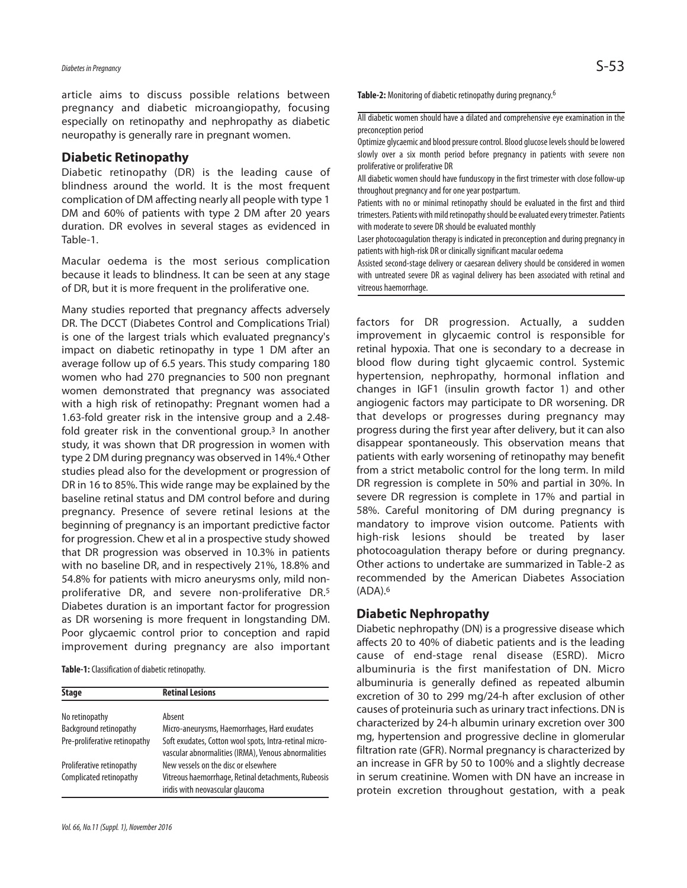# *Diabetes inPregnancy* S-53

article aims to discuss possible relations between pregnancy and diabetic microangiopathy, focusing especially on retinopathy and nephropathy as diabetic neuropathy is generally rare in pregnant women.

#### **Diabetic Retinopathy**

Diabetic retinopathy (DR) is the leading cause of blindness around the world. It is the most frequent complication of DM affecting nearly all people with type 1 DM and 60% of patients with type 2 DM after 20 years duration. DR evolves in several stages as evidenced in Table-1.

Macular oedema is the most serious complication because it leads to blindness. It can be seen at any stage of DR, but it is more frequent in the proliferative one.

Many studies reported that pregnancy affects adversely DR. The DCCT (Diabetes Control and Complications Trial) is one of the largest trials which evaluated pregnancy's impact on diabetic retinopathy in type 1 DM after an average follow up of 6.5 years. This study comparing 180 women who had 270 pregnancies to 500 non pregnant women demonstrated that pregnancy was associated with a high risk of retinopathy: Pregnant women had a 1.63-fold greater risk in the intensive group and a 2.48 fold greater risk in the conventional group. <sup>3</sup> In another study, it was shown that DR progression in women with type 2 DM during pregnancy was observed in 14%. <sup>4</sup> Other studies plead also for the development or progression of DR in 16 to 85%. This wide range may be explained by the baseline retinal status and DM control before and during pregnancy. Presence of severe retinal lesions at the beginning of pregnancy is an important predictive factor for progression. Chew et al in a prospective study showed that DR progression was observed in 10.3% in patients with no baseline DR, and in respectively 21%, 18.8% and 54.8% for patients with micro aneurysms only, mild nonproliferative DR, and severe non-proliferative DR. 5 Diabetes duration is an important factor for progression as DR worsening is more frequent in longstanding DM. Poor glycaemic control prior to conception and rapid improvement during pregnancy are also important

**Table-1:** Classification of diabetic retinopathy.

| <b>Stage</b>                  | <b>Retinal Lesions</b>                                                                                        |
|-------------------------------|---------------------------------------------------------------------------------------------------------------|
| No retinopathy                | Absent                                                                                                        |
|                               |                                                                                                               |
| Background retinopathy        | Micro-aneurysms, Haemorrhages, Hard exudates                                                                  |
| Pre-proliferative retinopathy | Soft exudates, Cotton wool spots, Intra-retinal micro-<br>vascular abnormalities (IRMA), Venous abnormalities |
| Proliferative retinopathy     | New vessels on the disc or elsewhere                                                                          |
| Complicated retinopathy       | Vitreous haemorrhage, Retinal detachments, Rubeosis<br>iridis with neovascular glaucoma                       |

Table-2: Monitoring of diabetic retinopathy during pregnancy.<sup>6</sup>

All diabetic women should have a dilated and comprehensive eye examination in the preconception period

Optimize glycaemic and blood pressure control. Blood glucose levels should be lowered slowly over a six month period before pregnancy in patients with severe non proliferative or proliferative DR

All diabetic women should have funduscopy in the first trimester with close follow-up throughout pregnancy and for one year postpartum.

Patients with no or minimal retinopathy should be evaluated in the first and third trimesters. Patients with mild retinopathy should be evaluated every trimester. Patients with moderate to severe DR should be evaluated monthly

Laser photocoagulation therapy is indicated in preconception and during pregnancy in patients with high-risk DR or clinically significant macular oedema

Assisted second-stage delivery or caesarean delivery should be considered in women with untreated severe DR as vaginal delivery has been associated with retinal and vitreous haemorrhage.

factors for DR progression. Actually, a sudden improvement in glycaemic control is responsible for retinal hypoxia. That one is secondary to a decrease in blood flow during tight glycaemic control. Systemic hypertension, nephropathy, hormonal inflation and changes in IGF1 (insulin growth factor 1) and other angiogenic factors may participate to DR worsening. DR that develops or progresses during pregnancy may progress during the first year after delivery, but it can also disappear spontaneously. This observation means that patients with early worsening of retinopathy may benefit from a strict metabolic control for the long term. In mild DR regression is complete in 50% and partial in 30%. In severe DR regression is complete in 17% and partial in 58%. Careful monitoring of DM during pregnancy is mandatory to improve vision outcome. Patients with high-risk lesions should be treated by laser photocoagulation therapy before or during pregnancy. Other actions to undertake are summarized in Table-2 as recommended by the American Diabetes Association (ADA). 6

#### **Diabetic Nephropathy**

Diabetic nephropathy (DN) is a progressive disease which affects 20 to 40% of diabetic patients and is the leading cause of end-stage renal disease (ESRD). Micro albuminuria is the first manifestation of DN. Micro albuminuria is generally defined as repeated albumin excretion of 30 to 299 mg/24-h after exclusion of other causes of proteinuria such as urinary tract infections. DN is characterized by 24-h albumin urinary excretion over 300 mg, hypertension and progressive decline in glomerular filtration rate (GFR). Normal pregnancy is characterized by an increase in GFR by 50 to 100% and a slightly decrease in serum creatinine. Women with DN have an increase in protein excretion throughout gestation, with a peak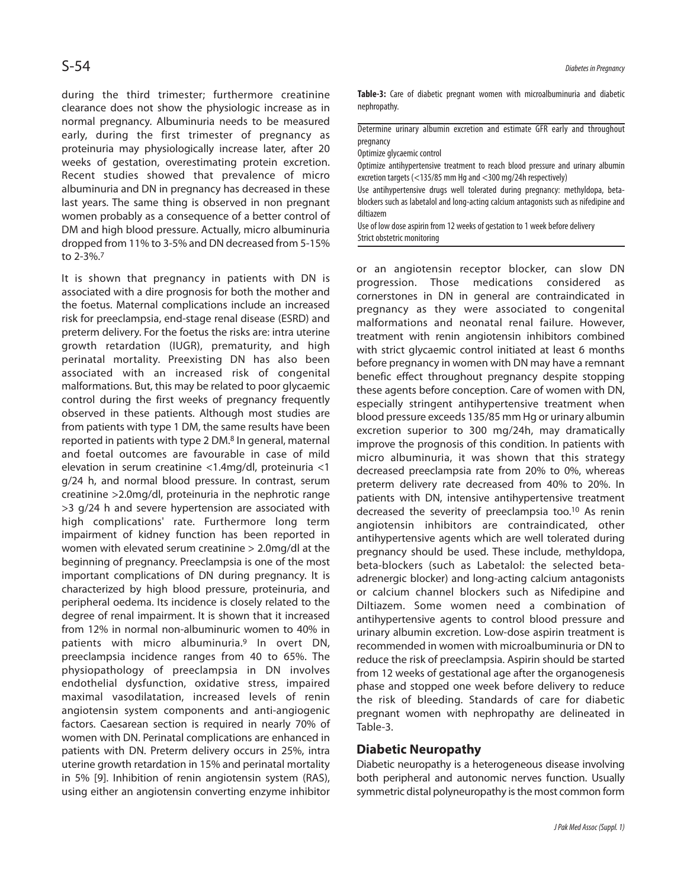during the third trimester; furthermore creatinine clearance does not show the physiologic increase as in normal pregnancy. Albuminuria needs to be measured early, during the first trimester of pregnancy as proteinuria may physiologically increase later, after 20 weeks of gestation, overestimating protein excretion. Recent studies showed that prevalence of micro albuminuria and DN in pregnancy has decreased in these last years. The same thing is observed in non pregnant women probably as a consequence of a better control of DM and high blood pressure. Actually, micro albuminuria dropped from 11% to 3-5% and DN decreased from 5-15% to 2-3%. 7

It is shown that pregnancy in patients with DN is associated with a dire prognosis for both the mother and the foetus. Maternal complications include an increased risk for preeclampsia, end-stage renal disease (ESRD) and preterm delivery. For the foetus the risks are: intra uterine growth retardation (IUGR), prematurity, and high perinatal mortality. Preexisting DN has also been associated with an increased risk of congenital malformations. But, this may be related to poor glycaemic control during the first weeks of pregnancy frequently observed in these patients. Although most studies are from patients with type 1 DM, the same results have been reported in patients with type 2 DM. <sup>8</sup> In general, maternal and foetal outcomes are favourable in case of mild elevation in serum creatinine <1.4mg/dl, proteinuria <1 g/24 h, and normal blood pressure. In contrast, serum creatinine >2.0mg/dl, proteinuria in the nephrotic range >3 g/24 h and severe hypertension are associated with high complications' rate. Furthermore long term impairment of kidney function has been reported in women with elevated serum creatinine > 2.0mg/dl at the beginning of pregnancy. Preeclampsia is one of the most important complications of DN during pregnancy. It is characterized by high blood pressure, proteinuria, and peripheral oedema. Its incidence is closely related to the degree of renal impairment. It is shown that it increased from 12% in normal non-albuminuric women to 40% in patients with micro albuminuria. <sup>9</sup> In overt DN, preeclampsia incidence ranges from 40 to 65%. The physiopathology of preeclampsia in DN involves endothelial dysfunction, oxidative stress, impaired maximal vasodilatation, increased levels of renin angiotensin system components and anti-angiogenic factors. Caesarean section is required in nearly 70% of women with DN. Perinatal complications are enhanced in patients with DN. Preterm delivery occurs in 25%, intra uterine growth retardation in 15% and perinatal mortality in 5% [9]. Inhibition of renin angiotensin system (RAS), using either an angiotensin converting enzyme inhibitor **Table-3:** Care of diabetic pregnant women with microalbuminuria and diabetic nephropathy.

Determine urinary albumin excretion and estimate GFR early and throughout pregnancy

Optimize glycaemic control

Optimize antihypertensive treatment to reach blood pressure and urinary albumin excretion targets (<135/85 mm Hg and <300 mg/24h respectively)

Use antihypertensive drugs well tolerated during pregnancy: methyldopa, betablockers such as labetalol and long-acting calcium antagonists such as nifedipine and diltiazem

Use of low dose aspirin from 12 weeks of gestation to 1 week before delivery Strict obstetric monitoring

or an angiotensin receptor blocker, can slow DN progression. Those medications considered as cornerstones in DN in general are contraindicated in pregnancy as they were associated to congenital malformations and neonatal renal failure. However, treatment with renin angiotensin inhibitors combined with strict glycaemic control initiated at least 6 months before pregnancy in women with DN may have a remnant benefic effect throughout pregnancy despite stopping these agents before conception. Care of women with DN, especially stringent antihypertensive treatment when blood pressure exceeds 135/85 mm Hg or urinary albumin excretion superior to 300 mg/24h, may dramatically improve the prognosis of this condition. In patients with micro albuminuria, it was shown that this strategy decreased preeclampsia rate from 20% to 0%, whereas preterm delivery rate decreased from 40% to 20%. In patients with DN, intensive antihypertensive treatment decreased the severity of preeclampsia too. <sup>10</sup> As renin angiotensin inhibitors are contraindicated, other antihypertensive agents which are well tolerated during pregnancy should be used. These include, methyldopa, beta-blockers (such as Labetalol: the selected betaadrenergic blocker) and long-acting calcium antagonists or calcium channel blockers such as Nifedipine and Diltiazem. Some women need a combination of antihypertensive agents to control blood pressure and urinary albumin excretion. Low-dose aspirin treatment is recommended in women with microalbuminuria or DN to reduce the risk of preeclampsia. Aspirin should be started from 12 weeks of gestational age after the organogenesis phase and stopped one week before delivery to reduce the risk of bleeding. Standards of care for diabetic pregnant women with nephropathy are delineated in Table-3.

#### **Diabetic Neuropathy**

Diabetic neuropathy is a heterogeneous disease involving both peripheral and autonomic nerves function. Usually symmetric distal polyneuropathy is the most common form